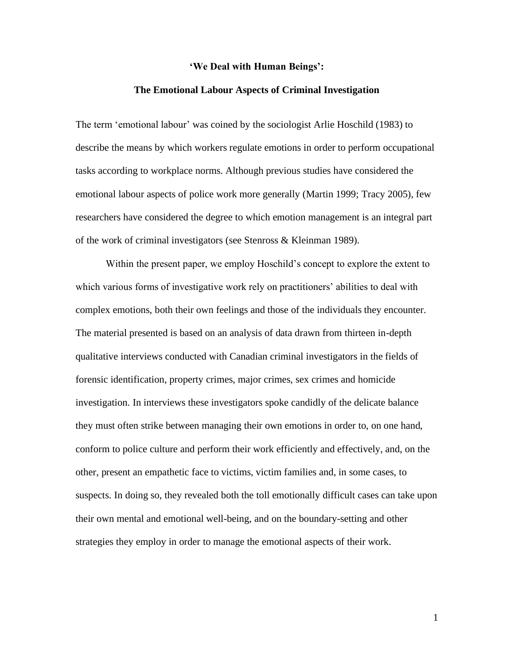## **'We Deal with Human Beings':**

## **The Emotional Labour Aspects of Criminal Investigation**

The term 'emotional labour' was coined by the sociologist Arlie Hoschild (1983) to describe the means by which workers regulate emotions in order to perform occupational tasks according to workplace norms. Although previous studies have considered the emotional labour aspects of police work more generally (Martin 1999; Tracy 2005), few researchers have considered the degree to which emotion management is an integral part of the work of criminal investigators (see Stenross & Kleinman 1989).

Within the present paper, we employ Hoschild's concept to explore the extent to which various forms of investigative work rely on practitioners' abilities to deal with complex emotions, both their own feelings and those of the individuals they encounter. The material presented is based on an analysis of data drawn from thirteen in-depth qualitative interviews conducted with Canadian criminal investigators in the fields of forensic identification, property crimes, major crimes, sex crimes and homicide investigation. In interviews these investigators spoke candidly of the delicate balance they must often strike between managing their own emotions in order to, on one hand, conform to police culture and perform their work efficiently and effectively, and, on the other, present an empathetic face to victims, victim families and, in some cases, to suspects. In doing so, they revealed both the toll emotionally difficult cases can take upon their own mental and emotional well-being, and on the boundary-setting and other strategies they employ in order to manage the emotional aspects of their work.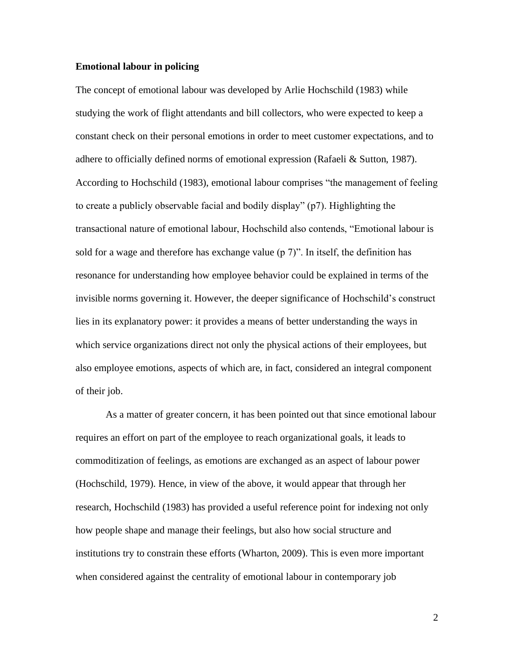### **Emotional labour in policing**

The concept of emotional labour was developed by Arlie Hochschild (1983) while studying the work of flight attendants and bill collectors, who were expected to keep a constant check on their personal emotions in order to meet customer expectations, and to adhere to officially defined norms of emotional expression (Rafaeli & Sutton, 1987). According to Hochschild (1983), emotional labour comprises "the management of feeling to create a publicly observable facial and bodily display" (p7). Highlighting the transactional nature of emotional labour, Hochschild also contends, "Emotional labour is sold for a wage and therefore has exchange value ( $p \, 7$ )". In itself, the definition has resonance for understanding how employee behavior could be explained in terms of the invisible norms governing it. However, the deeper significance of Hochschild's construct lies in its explanatory power: it provides a means of better understanding the ways in which service organizations direct not only the physical actions of their employees, but also employee emotions, aspects of which are, in fact, considered an integral component of their job.

As a matter of greater concern, it has been pointed out that since emotional labour requires an effort on part of the employee to reach organizational goals, it leads to commoditization of feelings, as emotions are exchanged as an aspect of labour power (Hochschild, 1979). Hence, in view of the above, it would appear that through her research, Hochschild (1983) has provided a useful reference point for indexing not only how people shape and manage their feelings, but also how social structure and institutions try to constrain these efforts (Wharton, 2009). This is even more important when considered against the centrality of emotional labour in contemporary job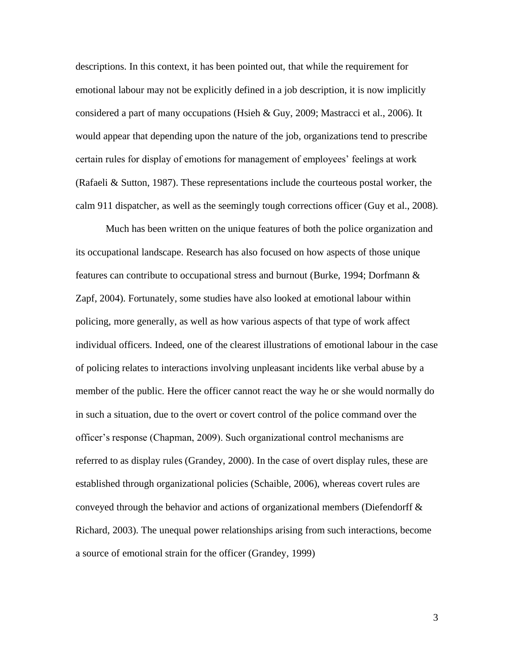descriptions. In this context, it has been pointed out, that while the requirement for emotional labour may not be explicitly defined in a job description, it is now implicitly considered a part of many occupations (Hsieh & Guy, 2009; Mastracci et al., 2006). It would appear that depending upon the nature of the job, organizations tend to prescribe certain rules for display of emotions for management of employees' feelings at work (Rafaeli & Sutton, 1987). These representations include the courteous postal worker, the calm 911 dispatcher, as well as the seemingly tough corrections officer (Guy et al., 2008).

Much has been written on the unique features of both the police organization and its occupational landscape. Research has also focused on how aspects of those unique features can contribute to occupational stress and burnout (Burke, 1994; Dorfmann & Zapf, 2004). Fortunately, some studies have also looked at emotional labour within policing, more generally, as well as how various aspects of that type of work affect individual officers. Indeed, one of the clearest illustrations of emotional labour in the case of policing relates to interactions involving unpleasant incidents like verbal abuse by a member of the public. Here the officer cannot react the way he or she would normally do in such a situation, due to the overt or covert control of the police command over the officer's response (Chapman, 2009). Such organizational control mechanisms are referred to as display rules (Grandey, 2000). In the case of overt display rules, these are established through organizational policies (Schaible, 2006), whereas covert rules are conveyed through the behavior and actions of organizational members (Diefendorff  $\&$ Richard, 2003). The unequal power relationships arising from such interactions, become a source of emotional strain for the officer (Grandey, 1999)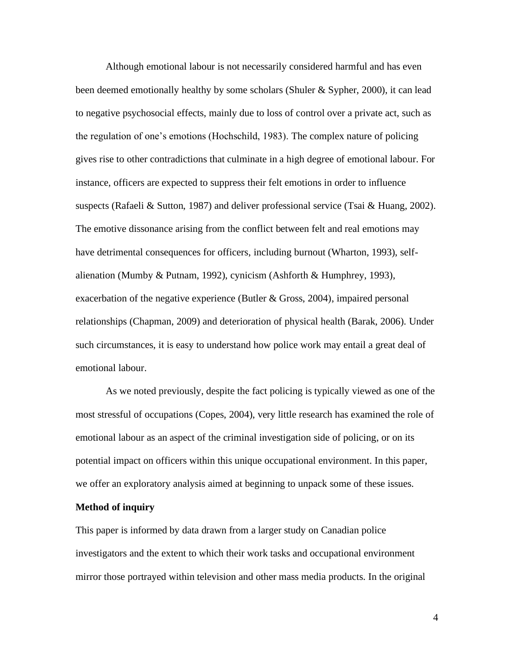Although emotional labour is not necessarily considered harmful and has even been deemed emotionally healthy by some scholars (Shuler & Sypher, 2000), it can lead to negative psychosocial effects, mainly due to loss of control over a private act, such as the regulation of one's emotions (Hochschild, 1983). The complex nature of policing gives rise to other contradictions that culminate in a high degree of emotional labour. For instance, officers are expected to suppress their felt emotions in order to influence suspects (Rafaeli & Sutton, 1987) and deliver professional service (Tsai & Huang, 2002). The emotive dissonance arising from the conflict between felt and real emotions may have detrimental consequences for officers, including burnout (Wharton, 1993), selfalienation (Mumby & Putnam, 1992), cynicism (Ashforth & Humphrey, 1993), exacerbation of the negative experience (Butler & Gross, 2004), impaired personal relationships (Chapman, 2009) and deterioration of physical health (Barak, 2006). Under such circumstances, it is easy to understand how police work may entail a great deal of emotional labour.

As we noted previously, despite the fact policing is typically viewed as one of the most stressful of occupations (Copes, 2004), very little research has examined the role of emotional labour as an aspect of the criminal investigation side of policing, or on its potential impact on officers within this unique occupational environment. In this paper, we offer an exploratory analysis aimed at beginning to unpack some of these issues.

## **Method of inquiry**

This paper is informed by data drawn from a larger study on Canadian police investigators and the extent to which their work tasks and occupational environment mirror those portrayed within television and other mass media products. In the original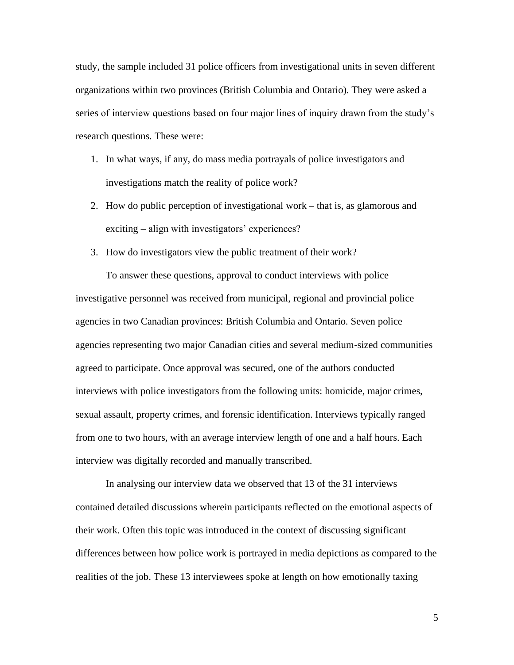study, the sample included 31 police officers from investigational units in seven different organizations within two provinces (British Columbia and Ontario). They were asked a series of interview questions based on four major lines of inquiry drawn from the study's research questions. These were:

- 1. In what ways, if any, do mass media portrayals of police investigators and investigations match the reality of police work?
- 2. How do public perception of investigational work that is, as glamorous and exciting – align with investigators' experiences?
- 3. How do investigators view the public treatment of their work?

To answer these questions, approval to conduct interviews with police investigative personnel was received from municipal, regional and provincial police agencies in two Canadian provinces: British Columbia and Ontario. Seven police agencies representing two major Canadian cities and several medium-sized communities agreed to participate. Once approval was secured, one of the authors conducted interviews with police investigators from the following units: homicide, major crimes, sexual assault, property crimes, and forensic identification. Interviews typically ranged from one to two hours, with an average interview length of one and a half hours. Each interview was digitally recorded and manually transcribed.

In analysing our interview data we observed that 13 of the 31 interviews contained detailed discussions wherein participants reflected on the emotional aspects of their work. Often this topic was introduced in the context of discussing significant differences between how police work is portrayed in media depictions as compared to the realities of the job. These 13 interviewees spoke at length on how emotionally taxing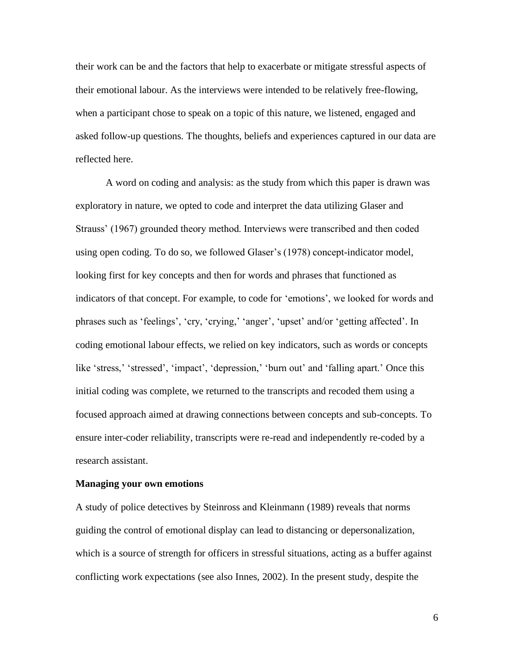their work can be and the factors that help to exacerbate or mitigate stressful aspects of their emotional labour. As the interviews were intended to be relatively free-flowing, when a participant chose to speak on a topic of this nature, we listened, engaged and asked follow-up questions. The thoughts, beliefs and experiences captured in our data are reflected here.

A word on coding and analysis: as the study from which this paper is drawn was exploratory in nature, we opted to code and interpret the data utilizing Glaser and Strauss' (1967) grounded theory method. Interviews were transcribed and then coded using open coding. To do so, we followed Glaser's (1978) concept-indicator model, looking first for key concepts and then for words and phrases that functioned as indicators of that concept. For example, to code for 'emotions', we looked for words and phrases such as 'feelings', 'cry, 'crying,' 'anger', 'upset' and/or 'getting affected'. In coding emotional labour effects, we relied on key indicators, such as words or concepts like 'stress,' 'stressed', 'impact', 'depression,' 'burn out' and 'falling apart.' Once this initial coding was complete, we returned to the transcripts and recoded them using a focused approach aimed at drawing connections between concepts and sub-concepts. To ensure inter-coder reliability, transcripts were re-read and independently re-coded by a research assistant.

# **Managing your own emotions**

A study of police detectives by Steinross and Kleinmann (1989) reveals that norms guiding the control of emotional display can lead to distancing or depersonalization, which is a source of strength for officers in stressful situations, acting as a buffer against conflicting work expectations (see also Innes, 2002). In the present study, despite the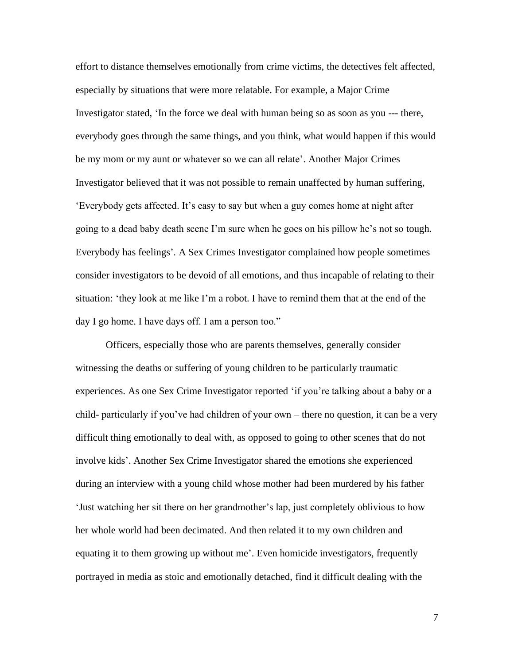effort to distance themselves emotionally from crime victims, the detectives felt affected, especially by situations that were more relatable. For example, a Major Crime Investigator stated, 'In the force we deal with human being so as soon as you --- there, everybody goes through the same things, and you think, what would happen if this would be my mom or my aunt or whatever so we can all relate'. Another Major Crimes Investigator believed that it was not possible to remain unaffected by human suffering, 'Everybody gets affected. It's easy to say but when a guy comes home at night after going to a dead baby death scene I'm sure when he goes on his pillow he's not so tough. Everybody has feelings'. A Sex Crimes Investigator complained how people sometimes consider investigators to be devoid of all emotions, and thus incapable of relating to their situation: 'they look at me like I'm a robot. I have to remind them that at the end of the day I go home. I have days off. I am a person too."

Officers, especially those who are parents themselves, generally consider witnessing the deaths or suffering of young children to be particularly traumatic experiences. As one Sex Crime Investigator reported 'if you're talking about a baby or a child- particularly if you've had children of your own – there no question, it can be a very difficult thing emotionally to deal with, as opposed to going to other scenes that do not involve kids'. Another Sex Crime Investigator shared the emotions she experienced during an interview with a young child whose mother had been murdered by his father 'Just watching her sit there on her grandmother's lap, just completely oblivious to how her whole world had been decimated. And then related it to my own children and equating it to them growing up without me'. Even homicide investigators, frequently portrayed in media as stoic and emotionally detached, find it difficult dealing with the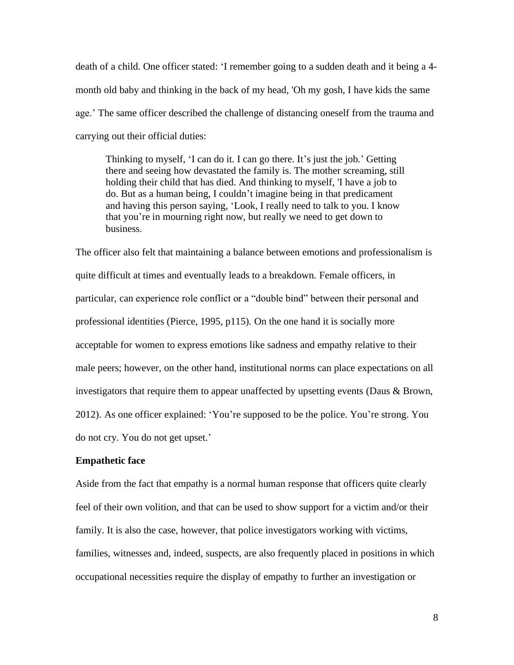death of a child. One officer stated: 'I remember going to a sudden death and it being a 4 month old baby and thinking in the back of my head, 'Oh my gosh, I have kids the same age.' The same officer described the challenge of distancing oneself from the trauma and carrying out their official duties:

Thinking to myself, 'I can do it. I can go there. It's just the job.' Getting there and seeing how devastated the family is. The mother screaming, still holding their child that has died. And thinking to myself, 'I have a job to do. But as a human being, I couldn't imagine being in that predicament and having this person saying, 'Look, I really need to talk to you. I know that you're in mourning right now, but really we need to get down to business.

The officer also felt that maintaining a balance between emotions and professionalism is quite difficult at times and eventually leads to a breakdown. Female officers, in particular, can experience role conflict or a "double bind" between their personal and professional identities (Pierce, 1995, p115). On the one hand it is socially more acceptable for women to express emotions like sadness and empathy relative to their male peers; however, on the other hand, institutional norms can place expectations on all investigators that require them to appear unaffected by upsetting events (Daus & Brown, 2012). As one officer explained: 'You're supposed to be the police. You're strong. You do not cry. You do not get upset.'

### **Empathetic face**

Aside from the fact that empathy is a normal human response that officers quite clearly feel of their own volition, and that can be used to show support for a victim and/or their family. It is also the case, however, that police investigators working with victims, families, witnesses and, indeed, suspects, are also frequently placed in positions in which occupational necessities require the display of empathy to further an investigation or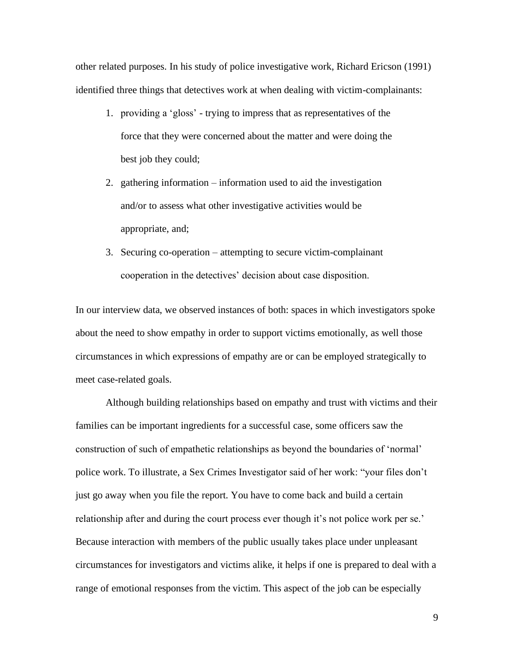other related purposes. In his study of police investigative work, Richard Ericson (1991) identified three things that detectives work at when dealing with victim-complainants:

- 1. providing a 'gloss' trying to impress that as representatives of the force that they were concerned about the matter and were doing the best job they could;
- 2. gathering information information used to aid the investigation and/or to assess what other investigative activities would be appropriate, and;
- 3. Securing co-operation attempting to secure victim-complainant cooperation in the detectives' decision about case disposition.

In our interview data, we observed instances of both: spaces in which investigators spoke about the need to show empathy in order to support victims emotionally, as well those circumstances in which expressions of empathy are or can be employed strategically to meet case-related goals.

Although building relationships based on empathy and trust with victims and their families can be important ingredients for a successful case, some officers saw the construction of such of empathetic relationships as beyond the boundaries of 'normal' police work. To illustrate, a Sex Crimes Investigator said of her work: "your files don't just go away when you file the report. You have to come back and build a certain relationship after and during the court process ever though it's not police work per se.' Because interaction with members of the public usually takes place under unpleasant circumstances for investigators and victims alike, it helps if one is prepared to deal with a range of emotional responses from the victim. This aspect of the job can be especially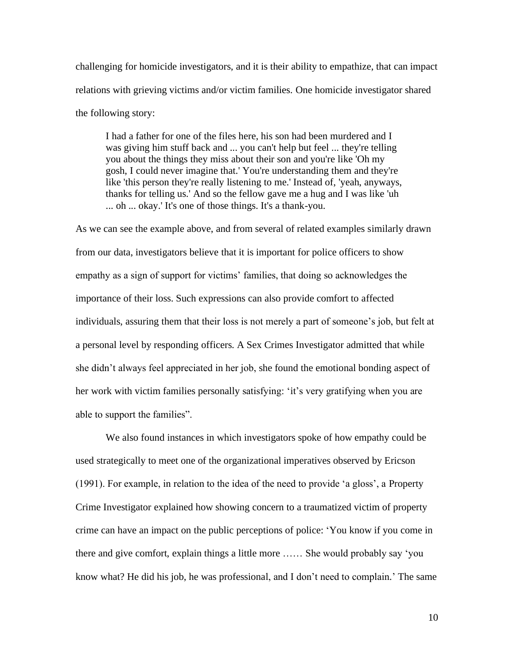challenging for homicide investigators, and it is their ability to empathize, that can impact relations with grieving victims and/or victim families. One homicide investigator shared the following story:

I had a father for one of the files here, his son had been murdered and I was giving him stuff back and ... you can't help but feel ... they're telling you about the things they miss about their son and you're like 'Oh my gosh, I could never imagine that.' You're understanding them and they're like 'this person they're really listening to me.' Instead of, 'yeah, anyways, thanks for telling us.' And so the fellow gave me a hug and I was like 'uh ... oh ... okay.' It's one of those things. It's a thank-you.

As we can see the example above, and from several of related examples similarly drawn from our data, investigators believe that it is important for police officers to show empathy as a sign of support for victims' families, that doing so acknowledges the importance of their loss. Such expressions can also provide comfort to affected individuals, assuring them that their loss is not merely a part of someone's job, but felt at a personal level by responding officers. A Sex Crimes Investigator admitted that while she didn't always feel appreciated in her job, she found the emotional bonding aspect of her work with victim families personally satisfying: 'it's very gratifying when you are able to support the families".

We also found instances in which investigators spoke of how empathy could be used strategically to meet one of the organizational imperatives observed by Ericson (1991). For example, in relation to the idea of the need to provide 'a gloss', a Property Crime Investigator explained how showing concern to a traumatized victim of property crime can have an impact on the public perceptions of police: 'You know if you come in there and give comfort, explain things a little more …… She would probably say 'you know what? He did his job, he was professional, and I don't need to complain.' The same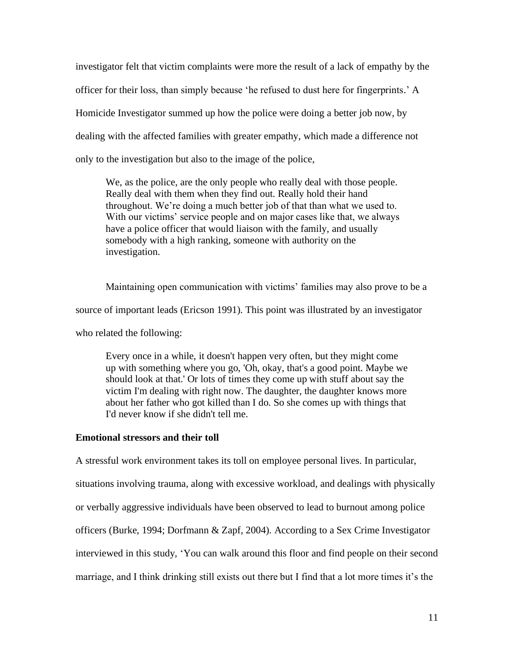investigator felt that victim complaints were more the result of a lack of empathy by the officer for their loss, than simply because 'he refused to dust here for fingerprints.' A Homicide Investigator summed up how the police were doing a better job now, by dealing with the affected families with greater empathy, which made a difference not only to the investigation but also to the image of the police,

We, as the police, are the only people who really deal with those people. Really deal with them when they find out. Really hold their hand throughout. We're doing a much better job of that than what we used to. With our victims' service people and on major cases like that, we always have a police officer that would liaison with the family, and usually somebody with a high ranking, someone with authority on the investigation.

Maintaining open communication with victims' families may also prove to be a source of important leads (Ericson 1991). This point was illustrated by an investigator who related the following:

Every once in a while, it doesn't happen very often, but they might come up with something where you go, 'Oh, okay, that's a good point. Maybe we should look at that.' Or lots of times they come up with stuff about say the victim I'm dealing with right now. The daughter, the daughter knows more about her father who got killed than I do. So she comes up with things that I'd never know if she didn't tell me.

### **Emotional stressors and their toll**

A stressful work environment takes its toll on employee personal lives. In particular, situations involving trauma, along with excessive workload, and dealings with physically or verbally aggressive individuals have been observed to lead to burnout among police officers (Burke, 1994; Dorfmann & Zapf, 2004). According to a Sex Crime Investigator interviewed in this study, 'You can walk around this floor and find people on their second marriage, and I think drinking still exists out there but I find that a lot more times it's the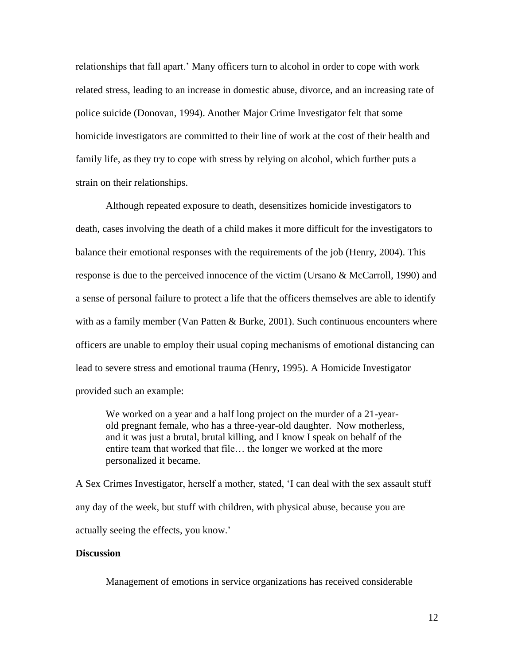relationships that fall apart.' Many officers turn to alcohol in order to cope with work related stress, leading to an increase in domestic abuse, divorce, and an increasing rate of police suicide (Donovan, 1994). Another Major Crime Investigator felt that some homicide investigators are committed to their line of work at the cost of their health and family life, as they try to cope with stress by relying on alcohol, which further puts a strain on their relationships.

Although repeated exposure to death, desensitizes homicide investigators to death, cases involving the death of a child makes it more difficult for the investigators to balance their emotional responses with the requirements of the job (Henry, 2004). This response is due to the perceived innocence of the victim (Ursano & McCarroll, 1990) and a sense of personal failure to protect a life that the officers themselves are able to identify with as a family member (Van Patten & Burke, 2001). Such continuous encounters where officers are unable to employ their usual coping mechanisms of emotional distancing can lead to severe stress and emotional trauma (Henry, 1995). A Homicide Investigator provided such an example:

We worked on a year and a half long project on the murder of a 21-yearold pregnant female, who has a three-year-old daughter. Now motherless, and it was just a brutal, brutal killing, and I know I speak on behalf of the entire team that worked that file… the longer we worked at the more personalized it became.

A Sex Crimes Investigator, herself a mother, stated, 'I can deal with the sex assault stuff any day of the week, but stuff with children, with physical abuse, because you are actually seeing the effects, you know.'

## **Discussion**

Management of emotions in service organizations has received considerable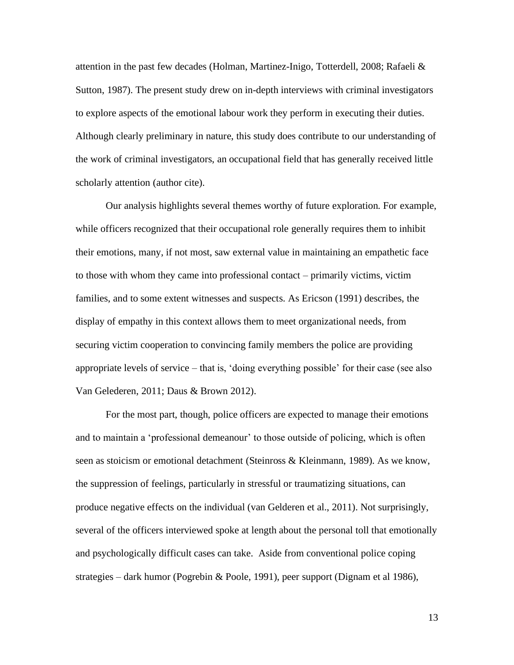attention in the past few decades (Holman, Martinez-Inigo, Totterdell, 2008; Rafaeli & Sutton, 1987). The present study drew on in-depth interviews with criminal investigators to explore aspects of the emotional labour work they perform in executing their duties. Although clearly preliminary in nature, this study does contribute to our understanding of the work of criminal investigators, an occupational field that has generally received little scholarly attention (author cite).

Our analysis highlights several themes worthy of future exploration. For example, while officers recognized that their occupational role generally requires them to inhibit their emotions, many, if not most, saw external value in maintaining an empathetic face to those with whom they came into professional contact – primarily victims, victim families, and to some extent witnesses and suspects. As Ericson (1991) describes, the display of empathy in this context allows them to meet organizational needs, from securing victim cooperation to convincing family members the police are providing appropriate levels of service – that is, 'doing everything possible' for their case (see also Van Gelederen, 2011; Daus & Brown 2012).

For the most part, though, police officers are expected to manage their emotions and to maintain a 'professional demeanour' to those outside of policing, which is often seen as stoicism or emotional detachment (Steinross & Kleinmann, 1989). As we know, the suppression of feelings, particularly in stressful or traumatizing situations, can produce negative effects on the individual (van Gelderen et al., 2011). Not surprisingly, several of the officers interviewed spoke at length about the personal toll that emotionally and psychologically difficult cases can take. Aside from conventional police coping strategies – dark humor (Pogrebin & Poole, 1991), peer support (Dignam et al 1986),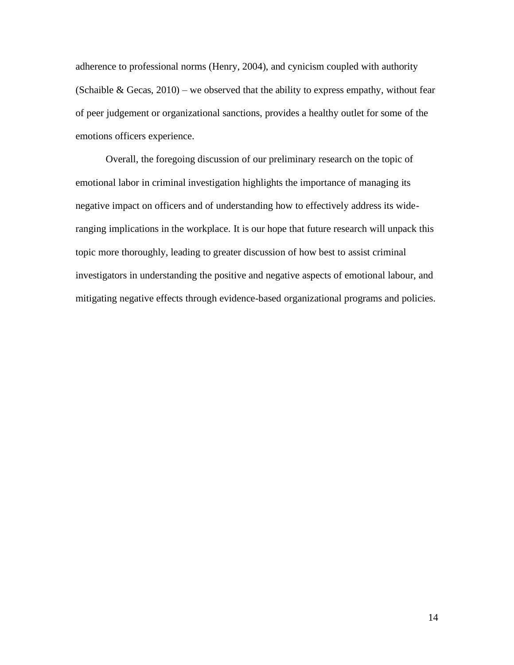adherence to professional norms (Henry, 2004), and cynicism coupled with authority (Schaible & Gecas,  $2010$ ) – we observed that the ability to express empathy, without fear of peer judgement or organizational sanctions, provides a healthy outlet for some of the emotions officers experience.

Overall, the foregoing discussion of our preliminary research on the topic of emotional labor in criminal investigation highlights the importance of managing its negative impact on officers and of understanding how to effectively address its wideranging implications in the workplace. It is our hope that future research will unpack this topic more thoroughly, leading to greater discussion of how best to assist criminal investigators in understanding the positive and negative aspects of emotional labour, and mitigating negative effects through evidence-based organizational programs and policies.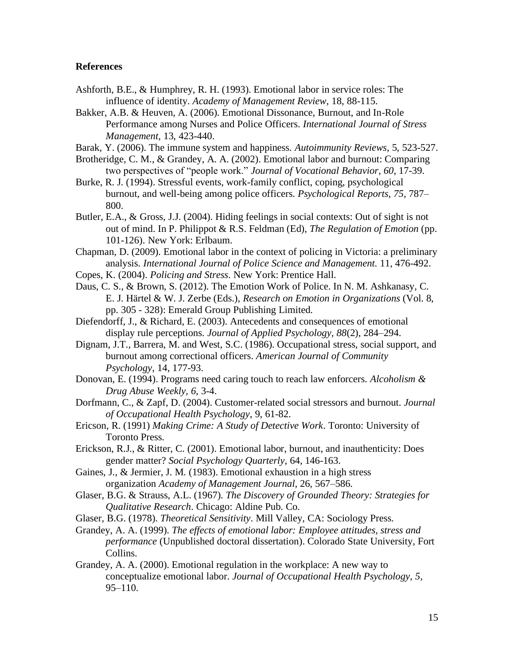# **References**

- Ashforth, B.E., & Humphrey, R. H. (1993). Emotional labor in service roles: The influence of identity. *Academy of Management Review*, 18, 88-115.
- Bakker, A.B. & Heuven, A. (2006). Emotional Dissonance, Burnout, and In-Role Performance among Nurses and Police Officers. *International Journal of Stress Management,* 13, 423-440.
- Barak, Y. (2006). The immune system and happiness. *Autoimmunity Reviews*, 5, 523-527.
- Brotheridge, C. M., & Grandey, A. A. (2002). Emotional labor and burnout: Comparing two perspectives of "people work." *Journal of Vocational Behavior*, *60*, 17-39.
- Burke, R. J. (1994). Stressful events, work-family conflict, coping, psychological burnout, and well-being among police officers. *Psychological Reports, 75,* 787– 800.
- Butler, E.A., & Gross, J.J. (2004). Hiding feelings in social contexts: Out of sight is not out of mind. In P. Philippot & R.S. Feldman (Ed), *The Regulation of Emotion* (pp. 101-126). New York: Erlbaum.
- Chapman, D. (2009). Emotional labor in the context of policing in Victoria: a preliminary analysis. *International Journal of Police Science and Management.* 11, 476-492.
- Copes, K. (2004). *Policing and Stress*. New York: Prentice Hall.
- Daus, C. S., & Brown, S. (2012). The Emotion Work of Police. In N. M. Ashkanasy, C. E. J. Härtel & W. J. Zerbe (Eds.), *Research on Emotion in Organizations* (Vol. 8, pp. 305 - 328): Emerald Group Publishing Limited.
- Diefendorff, J., & Richard, E. (2003). Antecedents and consequences of emotional display rule perceptions. *Journal of Applied Psychology, 88*(2), 284–294.
- Dignam, J.T., Barrera, M. and West, S.C. (1986). Occupational stress, social support, and burnout among correctional officers. *American Journal of Community Psychology*, 14, 177-93.
- Donovan, E. (1994). Programs need caring touch to reach law enforcers. *Alcoholism & Drug Abuse Weekly, 6*, 3-4.
- Dorfmann, C., & Zapf, D. (2004). Customer-related social stressors and burnout. *Journal of Occupational Health Psychology*, 9, 61-82.
- Ericson, R. (1991) *Making Crime: A Study of Detective Work*. Toronto: University of Toronto Press.
- Erickson, R.J., & Ritter, C. (2001). Emotional labor, burnout, and inauthenticity: Does gender matter? *Social Psychology Quarterly*, 64, 146-163.
- Gaines, J., & Jermier, J. M. (1983). Emotional exhaustion in a high stress organization *Academy of Management Journal,* 26, 567–586.
- Glaser, B.G. & Strauss, A.L. (1967). *The Discovery of Grounded Theory: Strategies for Qualitative Research*. Chicago: Aldine Pub. Co.
- Glaser, B.G. (1978). *Theoretical Sensitivity*. Mill Valley, CA: Sociology Press.
- Grandey, A. A. (1999). *The effects of emotional labor: Employee attitudes, stress and performance* (Unpublished doctoral dissertation). Colorado State University, Fort Collins.
- Grandey, A. A. (2000). Emotional regulation in the workplace: A new way to conceptualize emotional labor. *Journal of Occupational Health Psychology, 5,*  95–110.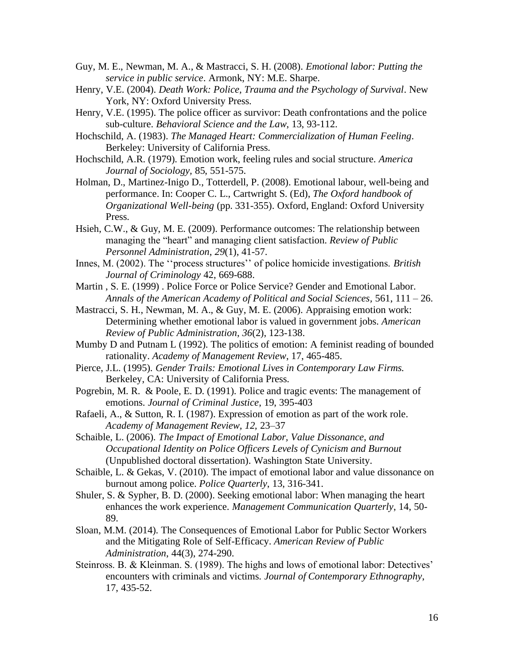- Guy, M. E., Newman, M. A., & Mastracci, S. H. (2008). *Emotional labor: Putting the service in public service*. Armonk, NY: M.E. Sharpe.
- Henry, V.E. (2004). *Death Work: Police, Trauma and the Psychology of Survival*. New York, NY: Oxford University Press.
- Henry, V.E. (1995). The police officer as survivor: Death confrontations and the police sub-culture. *Behavioral Science and the Law*, 13, 93-112.
- Hochschild, A. (1983). *The Managed Heart: Commercialization of Human Feeling*. Berkeley: University of California Press.
- Hochschild, A.R. (1979). Emotion work, feeling rules and social structure. *America Journal of Sociology,* 85, 551-575.
- Holman, D., Martinez-Inigo D., Totterdell, P. (2008). Emotional labour, well-being and performance. In: Cooper C. L., Cartwright S. (Ed), *The Oxford handbook of Organizational Well-being* (pp. 331-355). Oxford, England: Oxford University Press.
- Hsieh, C.W., & Guy, M. E. (2009). Performance outcomes: The relationship between managing the "heart" and managing client satisfaction. *Review of Public Personnel Administration*, *29*(1), 41-57.
- Innes, M. (2002). The ''process structures'' of police homicide investigations. *British Journal of Criminology* 42, 669-688.
- Martin , S. E. (1999) . Police Force or Police Service? Gender and Emotional Labor. *Annals of the American Academy of Political and Social Sciences,* 561, 111 – 26.
- Mastracci, S. H., Newman, M. A., & Guy, M. E. (2006). Appraising emotion work: Determining whether emotional labor is valued in government jobs. *American Review of Public Administration*, *36*(2), 123-138.
- Mumby D and Putnam L (1992). The politics of emotion: A feminist reading of bounded rationality. *Academy of Management Review*, 17, 465-485.
- Pierce, J.L. (1995). *Gender Trails: Emotional Lives in Contemporary Law Firms.* Berkeley, CA: University of California Press.
- Pogrebin, M. R. & Poole, E. D. (1991). Police and tragic events: The management of emotions. *Journal of Criminal Justice*, 19, 395-403
- Rafaeli, A., & Sutton, R. I. (1987). Expression of emotion as part of the work role. *Academy of Management Review, 12,* 23–37
- Schaible, L. (2006). *The Impact of Emotional Labor, Value Dissonance, and Occupational Identity on Police Officers Levels of Cynicism and Burnout*  (Unpublished doctoral dissertation). Washington State University.
- Schaible, L. & Gekas, V. (2010). The impact of emotional labor and value dissonance on burnout among police. *Police Quarterly*, 13, 316-341.
- Shuler, S. & Sypher, B. D. (2000). Seeking emotional labor: When managing the heart enhances the work experience. *Management Communication Quarterly*, 14, 50- 89.
- Sloan, M.M. (2014). The Consequences of Emotional Labor for Public Sector Workers and the Mitigating Role of Self-Efficacy. *American Review of Public Administration*, 44(3), 274-290.
- Steinross. B. & Kleinman. S. (1989). The highs and lows of emotional labor: Detectives' encounters with criminals and victims. *Journal of Contemporary Ethnography*, 17, 435-52.